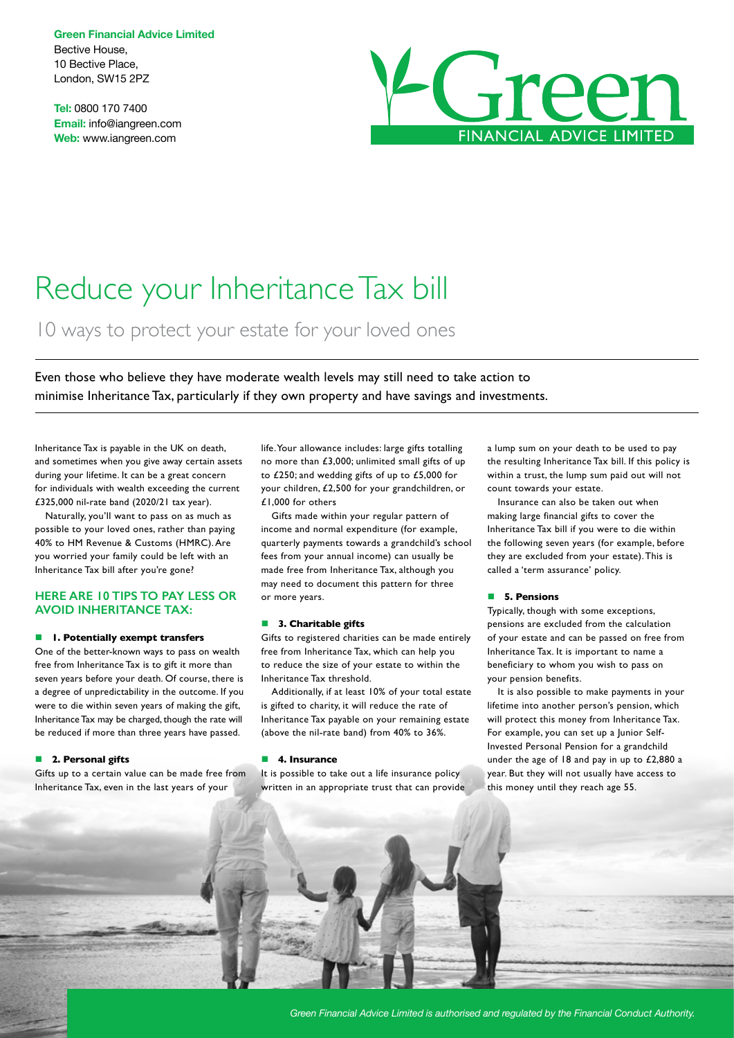**Green Financial Advice Limited** Bective House, 10 Bective Place, London, SW15 2PZ

**Tel:** 0800 170 7400 **Email:** info@iangreen.com **Web:** www.iangreen.com



# Reduce your Inheritance Tax bill

10 ways to protect your estate for your loved ones

Even those who believe they have moderate wealth levels may still need to take action to minimise Inheritance Tax, particularly if they own property and have savings and investments.

Inheritance Tax is payable in the UK on death, and sometimes when you give away certain assets during your lifetime. It can be a great concern for individuals with wealth exceeding the current £325,000 nil-rate band (2020/21 tax year).

Naturally, you'll want to pass on as much as possible to your loved ones, rather than paying 40% to HM Revenue & Customs (HMRC). Are you worried your family could be left with an Inheritance Tax bill after you're gone?

# **HERE ARE 10 TIPS TO PAY LESS OR AVOID INHERITANCE TAX:**

#### $\blacksquare$  **1. Potentially exempt transfers**

One of the better-known ways to pass on wealth free from Inheritance Tax is to gift it more than seven years before your death. Of course, there is a degree of unpredictability in the outcome. If you were to die within seven years of making the gift, Inheritance Tax may be charged, though the rate will be reduced if more than three years have passed.

### **n** 2. Personal gifts

Gifts up to a certain value can be made free from Inheritance Tax, even in the last years of your

life. Your allowance includes: large gifts totalling no more than £3,000; unlimited small gifts of up to £250; and wedding gifts of up to £5,000 for your children, £2,500 for your grandchildren, or £1,000 for others

Gifts made within your regular pattern of income and normal expenditure (for example, quarterly payments towards a grandchild's school fees from your annual income) can usually be made free from Inheritance Tax, although you may need to document this pattern for three or more years.

#### **n** 3. Charitable gifts

Gifts to registered charities can be made entirely free from Inheritance Tax, which can help you to reduce the size of your estate to within the Inheritance Tax threshold.

Additionally, if at least 10% of your total estate is gifted to charity, it will reduce the rate of Inheritance Tax payable on your remaining estate (above the nil-rate band) from 40% to 36%.

# **n** 4. Insurance

It is possible to take out a life insurance policy written in an appropriate trust that can provide a lump sum on your death to be used to pay the resulting Inheritance Tax bill. If this policy is within a trust, the lump sum paid out will not count towards your estate.

Insurance can also be taken out when making large financial gifts to cover the Inheritance Tax bill if you were to die within the following seven years (for example, before they are excluded from your estate). This is called a 'term assurance' policy.

# n **5. Pensions**

Typically, though with some exceptions, pensions are excluded from the calculation of your estate and can be passed on free from Inheritance Tax. It is important to name a beneficiary to whom you wish to pass on your pension benefits.

It is also possible to make payments in your lifetime into another person's pension, which will protect this money from Inheritance Tax. For example, you can set up a Junior Self-Invested Personal Pension for a grandchild under the age of 18 and pay in up to £2,880 a year. But they will not usually have access to this money until they reach age 55.